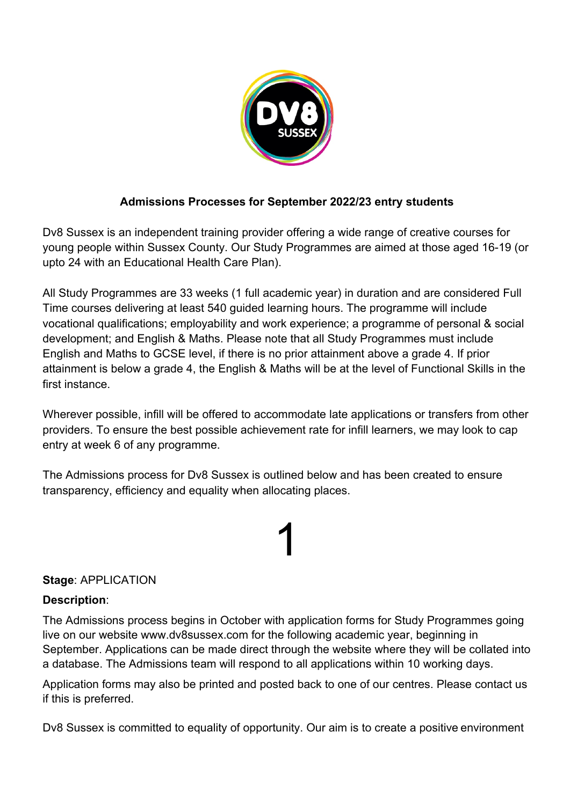

### **Admissions Processes for September 2022/23 entry students**

Dv8 Sussex is an independent training provider offering a wide range of creative courses for young people within Sussex County. Our Study Programmes are aimed at those aged 16-19 (or upto 24 with an Educational Health Care Plan).

All Study Programmes are 33 weeks (1 full academic year) in duration and are considered Full Time courses delivering at least 540 guided learning hours. The programme will include vocational qualifications; employability and work experience; a programme of personal & social development; and English & Maths. Please note that all Study Programmes must include English and Maths to GCSE level, if there is no prior attainment above a grade 4. If prior attainment is below a grade 4, the English & Maths will be at the level of Functional Skills in the first instance.

Wherever possible, infill will be offered to accommodate late applications or transfers from other providers. To ensure the best possible achievement rate for infill learners, we may look to cap entry at week 6 of any programme.

The Admissions process for Dv8 Sussex is outlined below and has been created to ensure transparency, efficiency and equality when allocating places.

## 1

### **Stage**: APPLICATION

#### **Description**:

The Admissions process begins in October with application forms for Study Programmes going live on our website www.dv8sussex.com for the following academic year, beginning in September. Applications can be made direct through the website where they will be collated into a database. The Admissions team will respond to all applications within 10 working days.

Application forms may also be printed and posted back to one of our centres. Please contact us if this is preferred.

Dv8 Sussex is committed to equality of opportunity. Our aim is to create a positive environment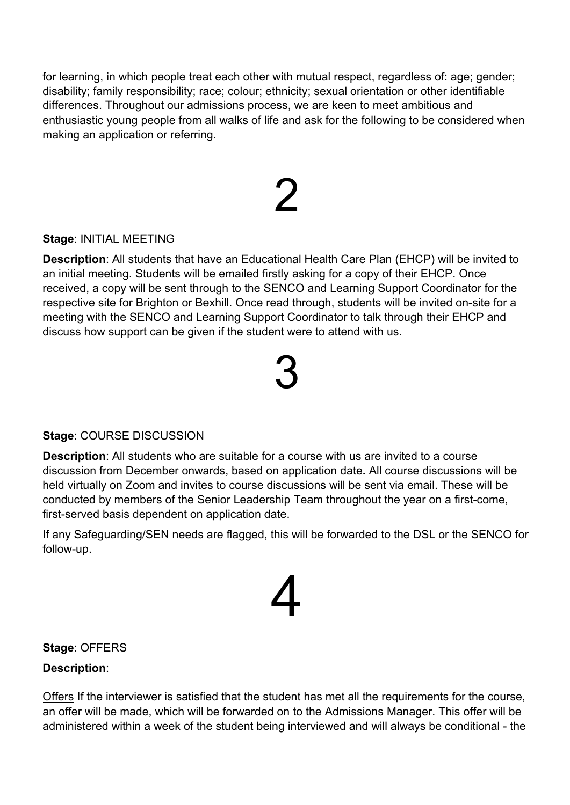for learning, in which people treat each other with mutual respect, regardless of: age; gender; disability; family responsibility; race; colour; ethnicity; sexual orientation or other identifiable differences. Throughout our admissions process, we are keen to meet ambitious and enthusiastic young people from all walks of life and ask for the following to be considered when making an application or referring.

## $\mathcal{P}$

### **Stage**: INITIAL MEETING

**Description**: All students that have an Educational Health Care Plan (EHCP) will be invited to an initial meeting. Students will be emailed firstly asking for a copy of their EHCP. Once received, a copy will be sent through to the SENCO and Learning Support Coordinator for the respective site for Brighton or Bexhill. Once read through, students will be invited on-site for a meeting with the SENCO and Learning Support Coordinator to talk through their EHCP and discuss how support can be given if the student were to attend with us.

## 3

### **Stage**: COURSE DISCUSSION

**Description**: All students who are suitable for a course with us are invited to a course discussion from December onwards, based on application date**.** All course discussions will be held virtually on Zoom and invites to course discussions will be sent via email. These will be conducted by members of the Senior Leadership Team throughout the year on a first-come, first-served basis dependent on application date.

If any Safeguarding/SEN needs are flagged, this will be forwarded to the DSL or the SENCO for follow-up.



### **Stage**: OFFERS

### **Description**:

Offers If the interviewer is satisfied that the student has met all the requirements for the course, an offer will be made, which will be forwarded on to the Admissions Manager. This offer will be administered within a week of the student being interviewed and will always be conditional - the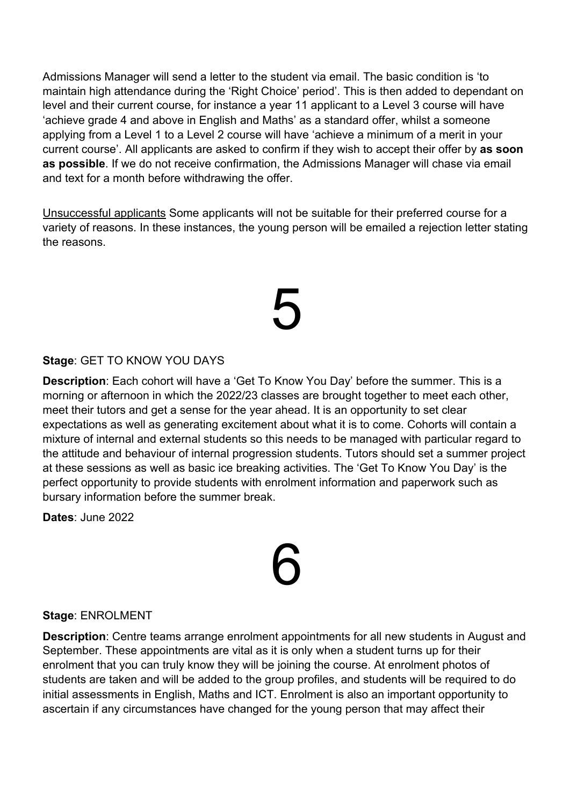Admissions Manager will send a letter to the student via email. The basic condition is 'to maintain high attendance during the 'Right Choice' period'. This is then added to dependant on level and their current course, for instance a year 11 applicant to a Level 3 course will have 'achieve grade 4 and above in English and Maths' as a standard offer, whilst a someone applying from a Level 1 to a Level 2 course will have 'achieve a minimum of a merit in your current course'. All applicants are asked to confirm if they wish to accept their offer by **as soon as possible**. If we do not receive confirmation, the Admissions Manager will chase via email and text for a month before withdrawing the offer.

Unsuccessful applicants Some applicants will not be suitable for their preferred course for a variety of reasons. In these instances, the young person will be emailed a rejection letter stating the reasons.

## 5

### **Stage**: GET TO KNOW YOU DAYS

**Description**: Each cohort will have a 'Get To Know You Day' before the summer. This is a morning or afternoon in which the 2022/23 classes are brought together to meet each other, meet their tutors and get a sense for the year ahead. It is an opportunity to set clear expectations as well as generating excitement about what it is to come. Cohorts will contain a mixture of internal and external students so this needs to be managed with particular regard to the attitude and behaviour of internal progression students. Tutors should set a summer project at these sessions as well as basic ice breaking activities. The 'Get To Know You Day' is the perfect opportunity to provide students with enrolment information and paperwork such as bursary information before the summer break.

**Dates**: June 2022

# 6

#### **Stage**: ENROLMENT

**Description**: Centre teams arrange enrolment appointments for all new students in August and September. These appointments are vital as it is only when a student turns up for their enrolment that you can truly know they will be joining the course. At enrolment photos of students are taken and will be added to the group profiles, and students will be required to do initial assessments in English, Maths and ICT. Enrolment is also an important opportunity to ascertain if any circumstances have changed for the young person that may affect their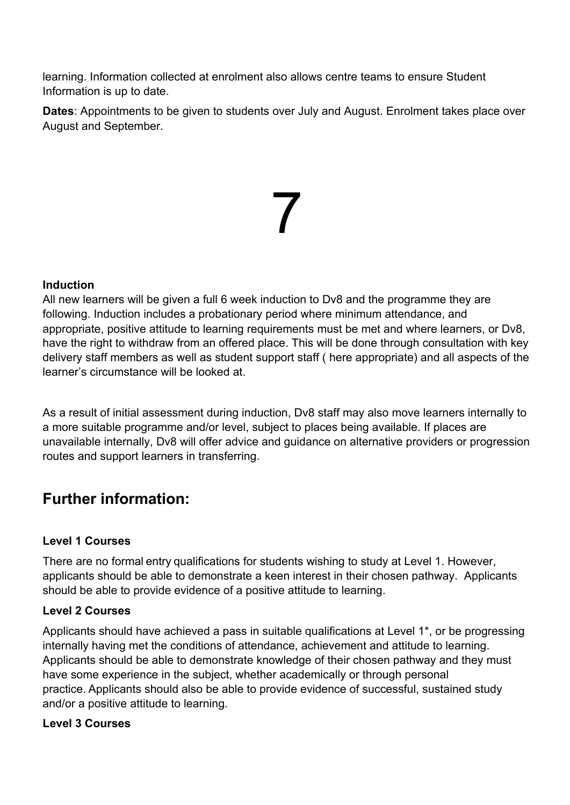learning. Information collected at enrolment also allows centre teams to ensure Student Information is up to date.

**Dates**: Appointments to be given to students over July and August. Enrolment takes place over August and September.

7

### **Induction**

All new learners will be given a full 6 week induction to Dv8 and the programme they are following. Induction includes a probationary period where minimum attendance, and appropriate, positive attitude to learning requirements must be met and where learners, or Dv8, have the right to withdraw from an offered place. This will be done through consultation with key delivery staff members as well as student support staff ( here appropriate) and all aspects of the learner's circumstance will be looked at.

As a result of initial assessment during induction, Dv8 staff may also move learners internally to a more suitable programme and/or level, subject to places being available. If places are unavailable internally, Dv8 will offer advice and guidance on alternative providers or progression routes and support learners in transferring.

### **Further information:**

### **Level 1 Courses**

There are no formal entry qualifications for students wishing to study at Level 1. However, applicants should be able to demonstrate a keen interest in their chosen pathway. Applicants should be able to provide evidence of a positive attitude to learning.

### **Level 2 Courses**

Applicants should have achieved a pass in suitable qualifications at Level 1\*, or be progressing internally having met the conditions of attendance, achievement and attitude to learning. Applicants should be able to demonstrate knowledge of their chosen pathway and they must have some experience in the subject, whether academically or through personal practice. Applicants should also be able to provide evidence of successful, sustained study and/or a positive attitude to learning.

### **Level 3 Courses**